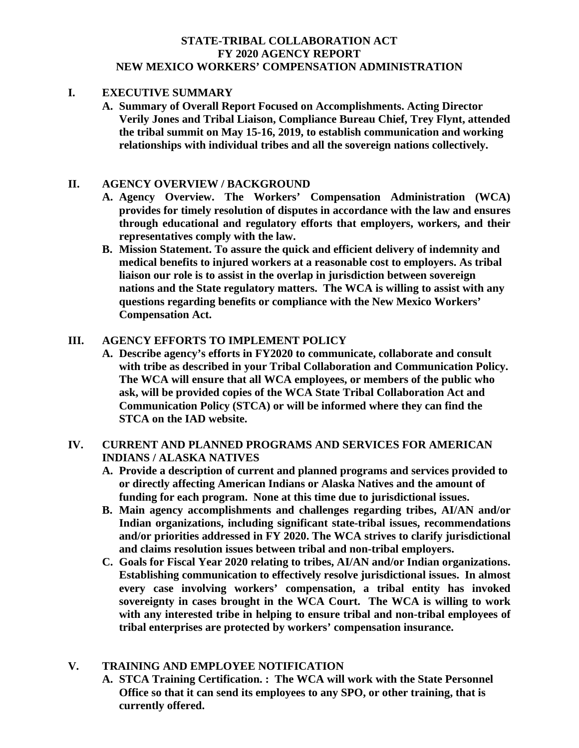# **STATE-TRIBAL COLLABORATION ACT FY 2020 AGENCY REPORT NEW MEXICO WORKERS' COMPENSATION ADMINISTRATION**

#### **I. EXECUTIVE SUMMARY**

**A. Summary of Overall Report Focused on Accomplishments. Acting Director Verily Jones and Tribal Liaison, Compliance Bureau Chief, Trey Flynt, attended the tribal summit on May 15-16, 2019, to establish communication and working relationships with individual tribes and all the sovereign nations collectively.**

#### **II. AGENCY OVERVIEW / BACKGROUND**

- **A. Agency Overview. The Workers' Compensation Administration (WCA) provides for timely resolution of disputes in accordance with the law and ensures through educational and regulatory efforts that employers, workers, and their representatives comply with the law.**
- **B. Mission Statement. To assure the quick and efficient delivery of indemnity and medical benefits to injured workers at a reasonable cost to employers. As tribal liaison our role is to assist in the overlap in jurisdiction between sovereign nations and the State regulatory matters. The WCA is willing to assist with any questions regarding benefits or compliance with the New Mexico Workers' Compensation Act.**

#### **III. AGENCY EFFORTS TO IMPLEMENT POLICY**

**A. Describe agency's efforts in FY2020 to communicate, collaborate and consult with tribe as described in your Tribal Collaboration and Communication Policy. The WCA will ensure that all WCA employees, or members of the public who ask, will be provided copies of the WCA State Tribal Collaboration Act and Communication Policy (STCA) or will be informed where they can find the STCA on the IAD website.**

# **IV. CURRENT AND PLANNED PROGRAMS AND SERVICES FOR AMERICAN INDIANS / ALASKA NATIVES**

- **A. Provide a description of current and planned programs and services provided to or directly affecting American Indians or Alaska Natives and the amount of funding for each program. None at this time due to jurisdictional issues.**
- **B. Main agency accomplishments and challenges regarding tribes, AI/AN and/or Indian organizations, including significant state-tribal issues, recommendations and/or priorities addressed in FY 2020. The WCA strives to clarify jurisdictional and claims resolution issues between tribal and non-tribal employers.**
- **C. Goals for Fiscal Year 2020 relating to tribes, AI/AN and/or Indian organizations. Establishing communication to effectively resolve jurisdictional issues. In almost every case involving workers' compensation, a tribal entity has invoked sovereignty in cases brought in the WCA Court. The WCA is willing to work with any interested tribe in helping to ensure tribal and non-tribal employees of tribal enterprises are protected by workers' compensation insurance.**

### **V. TRAINING AND EMPLOYEE NOTIFICATION**

**A. STCA Training Certification. : The WCA will work with the State Personnel Office so that it can send its employees to any SPO, or other training, that is currently offered.**